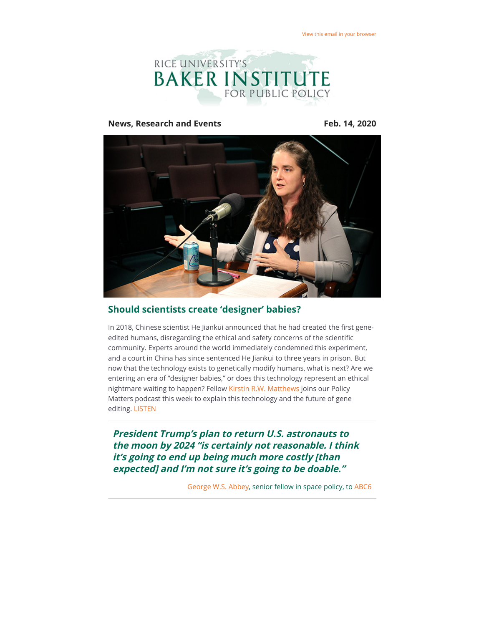

#### **News, Research and Events Feb. 14, 2020**



# **Should scientists create 'designer' babies?**

In 2018, Chinese scientist He Jiankui announced that he had created the first geneedited humans, disregarding the ethical and safety concerns of the scientific community. Experts around the world immediately condemned this experiment, and a court in China has since sentenced He Jiankui to three years in prison. But now that the technology exists to genetically modify humans, what is next? Are we entering an era of "designer babies," or does this technology represent an ethical nightmare waiting to happen? Fellow [Kirstin R.W. Matthews](https://riceconnect.rice.edu/page.redir?target=https%3a%2f%2fwww.bakerinstitute.org%2fexperts%2fkirstin-rw-matthews%2f&srcid=125749&srctid=1&erid=61726a0b-a388-4929-8e86-d702cf9e1c49&trid=61726a0b-a388-4929-8e86-d702cf9e1c49) joins our Policy Matters podcast this week to explain this technology and the future of gene editing. [LISTEN](https://riceconnect.rice.edu/page.redir?target=https%3a%2f%2fwww.stitcher.com%2fs%3feid%3d67291013&srcid=125749&srctid=1&erid=61726a0b-a388-4929-8e86-d702cf9e1c49&trid=61726a0b-a388-4929-8e86-d702cf9e1c49)

**President Trump's plan to return U.S. astronauts to the moon by 2024 "is certainly not reasonable. I think it's going to end up being much more costly [than expected] and I'm not sure it's going to be doable."** 

[George W.S. Abbey,](https://riceconnect.rice.edu/page.redir?target=http%3a%2f%2fwww.bakerinstitute.org%2fexperts%2fgeorge-ws-abbey%2f&srcid=125749&srctid=1&erid=61726a0b-a388-4929-8e86-d702cf9e1c49&trid=61726a0b-a388-4929-8e86-d702cf9e1c49) senior fellow in space policy, to [ABC6](https://riceconnect.rice.edu/page.redir?target=https%3a%2f%2fabc6onyourside.com%2fnews%2fnation-world%2ftrump-wants-to-get-to-the-moon-by-2024-but-house-seeks-focus-on-mars-mission&srcid=125749&srctid=1&erid=61726a0b-a388-4929-8e86-d702cf9e1c49&trid=61726a0b-a388-4929-8e86-d702cf9e1c49)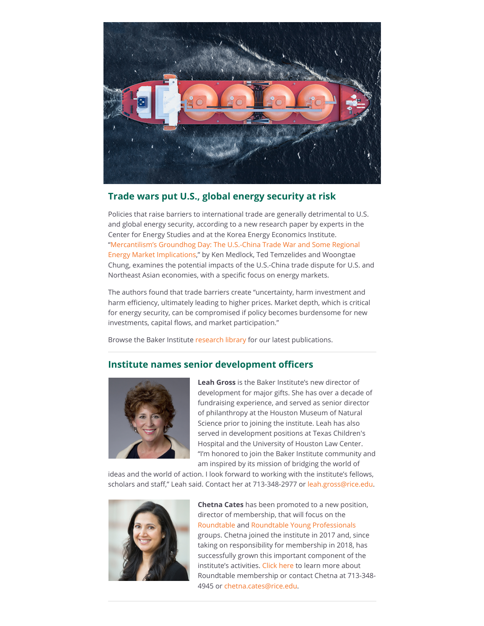

## **Trade wars put U.S., global energy security at risk**

Policies that raise barriers to international trade are generally detrimental to U.S. and global energy security, according to a new research paper by experts in the Center for Energy Studies and at the Korea Energy Economics Institute. ["Mercantilism's Groundhog Day: The U.S.-China Trade War and Some Regional](https://riceconnect.rice.edu/page.redir?target=https%3a%2f%2fwww.bakerinstitute.org%2fresearch%2fmercantilisms-groundhog-day-trade-war-trump-administration-and-northeast-asia%2f&srcid=125749&srctid=1&erid=61726a0b-a388-4929-8e86-d702cf9e1c49&trid=61726a0b-a388-4929-8e86-d702cf9e1c49) Energy Market Implications," by Ken Medlock, Ted Temzelides and Woongtae Chung, examines the potential impacts of the U.S.-China trade dispute for U.S. and Northeast Asian economies, with a specific focus on energy markets.

The authors found that trade barriers create "uncertainty, harm investment and harm efficiency, ultimately leading to higher prices. Market depth, which is critical for energy security, can be compromised if policy becomes burdensome for new investments, capital flows, and market participation."

Browse the Baker Institute [research library](https://riceconnect.rice.edu/page.redir?target=https%3a%2f%2fwww.bakerinstitute.org%2fresearch%2f&srcid=125749&srctid=1&erid=61726a0b-a388-4929-8e86-d702cf9e1c49&trid=61726a0b-a388-4929-8e86-d702cf9e1c49) for our latest publications.

### **Institute names senior development officers**



**Leah Gross** is the Baker Institute's new director of development for major gifts. She has over a decade of fundraising experience, and served as senior director of philanthropy at the Houston Museum of Natural Science prior to joining the institute. Leah has also served in development positions at Texas Children's Hospital and the University of Houston Law Center. "I'm honored to join the Baker Institute community and am inspired by its mission of bridging the world of

ideas and the world of action. I look forward to working with the institute's fellows, scholars and staff," Leah said. Contact her at 713-348-2977 or [leah.gross@rice.edu.](mailto:leah.gross@rice.edu)



**Chetna Cates** has been promoted to a new position, director of membership, that will focus on the [Roundtable](https://riceconnect.rice.edu/page.redir?target=http%3a%2f%2fwww.bakerinstitute.org%2fjoin-the-baker-roundtable%2f&srcid=125749&srctid=1&erid=61726a0b-a388-4929-8e86-d702cf9e1c49&trid=61726a0b-a388-4929-8e86-d702cf9e1c49) and [Roundtable Young Professionals](https://riceconnect.rice.edu/page.redir?target=http%3a%2f%2fwww.bakerinstitute.org%2froundtable-young-professionals%2f&srcid=125749&srctid=1&erid=61726a0b-a388-4929-8e86-d702cf9e1c49&trid=61726a0b-a388-4929-8e86-d702cf9e1c49) groups. Chetna joined the institute in 2017 and, since taking on responsibility for membership in 2018, has successfully grown this important component of the institute's activities. [Click here](https://riceconnect.rice.edu/page.redir?target=http%3a%2f%2fwww.bakerinstitute.org%2fjoin-the-baker-roundtable%2f&srcid=125749&srctid=1&erid=61726a0b-a388-4929-8e86-d702cf9e1c49&trid=61726a0b-a388-4929-8e86-d702cf9e1c49) to learn more about Roundtable membership or contact Chetna at 713-348- 4945 or [chetna.cates@rice.edu](mailto:chetna.cates@rice.edu).